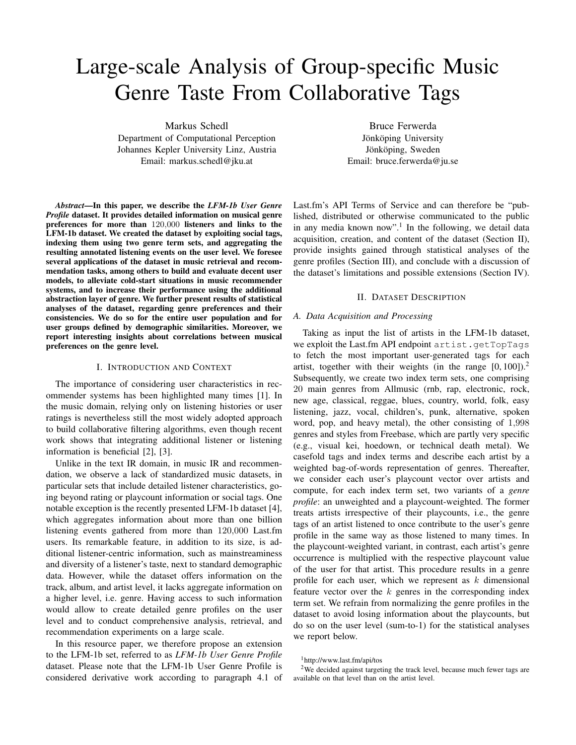# Large-scale Analysis of Group-specific Music Genre Taste From Collaborative Tags

Markus Schedl Department of Computational Perception Johannes Kepler University Linz, Austria Email: markus.schedl@jku.at

*Abstract*—In this paper, we describe the *LFM-1b User Genre Profile* dataset. It provides detailed information on musical genre preferences for more than 120,000 listeners and links to the LFM-1b dataset. We created the dataset by exploiting social tags, indexing them using two genre term sets, and aggregating the resulting annotated listening events on the user level. We foresee several applications of the dataset in music retrieval and recommendation tasks, among others to build and evaluate decent user models, to alleviate cold-start situations in music recommender systems, and to increase their performance using the additional abstraction layer of genre. We further present results of statistical analyses of the dataset, regarding genre preferences and their consistencies. We do so for the entire user population and for user groups defined by demographic similarities. Moreover, we report interesting insights about correlations between musical preferences on the genre level.

# I. INTRODUCTION AND CONTEXT

The importance of considering user characteristics in recommender systems has been highlighted many times [1]. In the music domain, relying only on listening histories or user ratings is nevertheless still the most widely adopted approach to build collaborative filtering algorithms, even though recent work shows that integrating additional listener or listening information is beneficial [2], [3].

Unlike in the text IR domain, in music IR and recommendation, we observe a lack of standardized music datasets, in particular sets that include detailed listener characteristics, going beyond rating or playcount information or social tags. One notable exception is the recently presented LFM-1b dataset [4], which aggregates information about more than one billion listening events gathered from more than 120,000 Last.fm users. Its remarkable feature, in addition to its size, is additional listener-centric information, such as mainstreaminess and diversity of a listener's taste, next to standard demographic data. However, while the dataset offers information on the track, album, and artist level, it lacks aggregate information on a higher level, i.e. genre. Having access to such information would allow to create detailed genre profiles on the user level and to conduct comprehensive analysis, retrieval, and recommendation experiments on a large scale.

In this resource paper, we therefore propose an extension to the LFM-1b set, referred to as *LFM-1b User Genre Profile* dataset. Please note that the LFM-1b User Genre Profile is considered derivative work according to paragraph 4.1 of

Bruce Ferwerda Jönköping University Jönköping, Sweden Email: bruce.ferwerda@ju.se

Last.fm's API Terms of Service and can therefore be "published, distributed or otherwise communicated to the public in any media known now".<sup>1</sup> In the following, we detail data acquisition, creation, and content of the dataset (Section II), provide insights gained through statistical analyses of the genre profiles (Section III), and conclude with a discussion of the dataset's limitations and possible extensions (Section IV).

## II. DATASET DESCRIPTION

# *A. Data Acquisition and Processing*

Taking as input the list of artists in the LFM-1b dataset, we exploit the Last.fm API endpoint artist.getTopTags to fetch the most important user-generated tags for each artist, together with their weights (in the range  $[0, 100]$ ).<sup>2</sup> Subsequently, we create two index term sets, one comprising 20 main genres from Allmusic (rnb, rap, electronic, rock, new age, classical, reggae, blues, country, world, folk, easy listening, jazz, vocal, children's, punk, alternative, spoken word, pop, and heavy metal), the other consisting of 1,998 genres and styles from Freebase, which are partly very specific (e.g., visual kei, hoedown, or technical death metal). We casefold tags and index terms and describe each artist by a weighted bag-of-words representation of genres. Thereafter, we consider each user's playcount vector over artists and compute, for each index term set, two variants of a *genre profile*: an unweighted and a playcount-weighted. The former treats artists irrespective of their playcounts, i.e., the genre tags of an artist listened to once contribute to the user's genre profile in the same way as those listened to many times. In the playcount-weighted variant, in contrast, each artist's genre occurrence is multiplied with the respective playcount value of the user for that artist. This procedure results in a genre profile for each user, which we represent as  $k$  dimensional feature vector over the  $k$  genres in the corresponding index term set. We refrain from normalizing the genre profiles in the dataset to avoid losing information about the playcounts, but do so on the user level (sum-to-1) for the statistical analyses we report below.

<sup>2</sup>We decided against targeting the track level, because much fewer tags are available on that level than on the artist level.

<sup>1</sup>http://www.last.fm/api/tos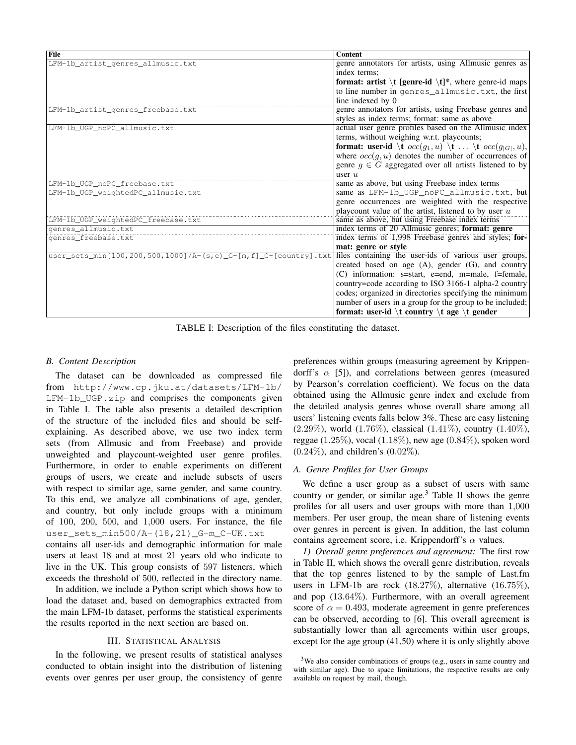| File                                                             | <b>Content</b>                                                                                    |
|------------------------------------------------------------------|---------------------------------------------------------------------------------------------------|
| LFM-1b_artist_genres_allmusic.txt                                | genre annotators for artists, using Allmusic genres as                                            |
|                                                                  | index terms:                                                                                      |
|                                                                  | <b>format:</b> artist $\setminus$ <b>t</b> [genre-id $\setminus$ <b>t</b> ]*, where genre-id maps |
|                                                                  | to line number in genres_allmusic.txt, the first                                                  |
|                                                                  | line indexed by 0                                                                                 |
| LFM-1b_artist_genres_freebase.txt                                | genre annotators for artists, using Freebase genres and                                           |
|                                                                  | styles as index terms; format: same as above                                                      |
| LFM-1b_UGP_noPC_allmusic.txt                                     | actual user genre profiles based on the Allmusic index                                            |
|                                                                  | terms, without weighing w.r.t. playcounts;                                                        |
|                                                                  | <b>format:</b> user-id $\setminus$ t $occ(g_1, u) \setminus$ t $\setminus$ t $occ(g_{ G }, u)$ ,  |
|                                                                  | where $occ(g, u)$ denotes the number of occurrences of                                            |
|                                                                  | genre $g \in G$ aggregated over all artists listened to by                                        |
|                                                                  | user $u$                                                                                          |
| LFM-1b_UGP_noPC_freebase.txt                                     | same as above, but using Freebase index terms                                                     |
| LFM-1b_UGP_weightedPC_allmusic.txt                               | same as LFM-1b_UGP_noPC_allmusic.txt, but                                                         |
|                                                                  | genre occurrences are weighted with the respective                                                |
|                                                                  | playcount value of the artist, listened to by user $u$                                            |
| LFM-1b_UGP_weightedPC_freebase.txt                               | same as above, but using Freebase index terms                                                     |
| genres_allmusic.txt                                              | index terms of 20 Allmusic genres; format: genre                                                  |
| genres_freebase.txt                                              | index terms of 1,998 Freebase genres and styles; for-                                             |
|                                                                  | mat: genre or style                                                                               |
| user_sets_min[100,200,500,1000]/A-(s,e)_G-[m, f]_C-[country].txt | files containing the user-ids of various user groups,                                             |
|                                                                  | created based on age $(A)$ , gender $(G)$ , and country                                           |
|                                                                  | (C) information: s=start, e=end, m=male, f=female,                                                |
|                                                                  | country=code according to ISO 3166-1 alpha-2 country                                              |
|                                                                  | codes; organized in directories specifying the minimum                                            |
|                                                                  | number of users in a group for the group to be included;                                          |
|                                                                  | format: user-id \t country \t age \t gender                                                       |

TABLE I: Description of the files constituting the dataset.

## *B. Content Description*

The dataset can be downloaded as compressed file from http://www.cp.jku.at/datasets/LFM-1b/ LFM-1b\_UGP.zip and comprises the components given in Table I. The table also presents a detailed description of the structure of the included files and should be selfexplaining. As described above, we use two index term sets (from Allmusic and from Freebase) and provide unweighted and playcount-weighted user genre profiles. Furthermore, in order to enable experiments on different groups of users, we create and include subsets of users with respect to similar age, same gender, and same country. To this end, we analyze all combinations of age, gender, and country, but only include groups with a minimum of 100, 200, 500, and 1,000 users. For instance, the file user\_sets\_min500/A-(18,21)\_G-m\_C-UK.txt contains all user-ids and demographic information for male

users at least 18 and at most 21 years old who indicate to live in the UK. This group consists of 597 listeners, which exceeds the threshold of 500, reflected in the directory name.

In addition, we include a Python script which shows how to load the dataset and, based on demographics extracted from the main LFM-1b dataset, performs the statistical experiments the results reported in the next section are based on.

# III. STATISTICAL ANALYSIS

In the following, we present results of statistical analyses conducted to obtain insight into the distribution of listening events over genres per user group, the consistency of genre preferences within groups (measuring agreement by Krippendorff's  $\alpha$  [5]), and correlations between genres (measured by Pearson's correlation coefficient). We focus on the data obtained using the Allmusic genre index and exclude from the detailed analysis genres whose overall share among all users' listening events falls below 3%. These are easy listening  $(2.29\%)$ , world  $(1.76\%)$ , classical  $(1.41\%)$ , country  $(1.40\%)$ , reggae (1.25%), vocal (1.18%), new age (0.84%), spoken word  $(0.24\%)$ , and children's  $(0.02\%)$ .

# *A. Genre Profiles for User Groups*

We define a user group as a subset of users with same country or gender, or similar age. $3$  Table II shows the genre profiles for all users and user groups with more than 1,000 members. Per user group, the mean share of listening events over genres in percent is given. In addition, the last column contains agreement score, i.e. Krippendorff's  $\alpha$  values.

*1) Overall genre preferences and agreement:* The first row in Table II, which shows the overall genre distribution, reveals that the top genres listened to by the sample of Last.fm users in LFM-1b are rock (18.27%), alternative (16.75%), and pop (13.64%). Furthermore, with an overall agreement score of  $\alpha = 0.493$ , moderate agreement in genre preferences can be observed, according to [6]. This overall agreement is substantially lower than all agreements within user groups, except for the age group (41,50) where it is only slightly above

<sup>&</sup>lt;sup>3</sup>We also consider combinations of groups (e.g., users in same country and with similar age). Due to space limitations, the respective results are only available on request by mail, though.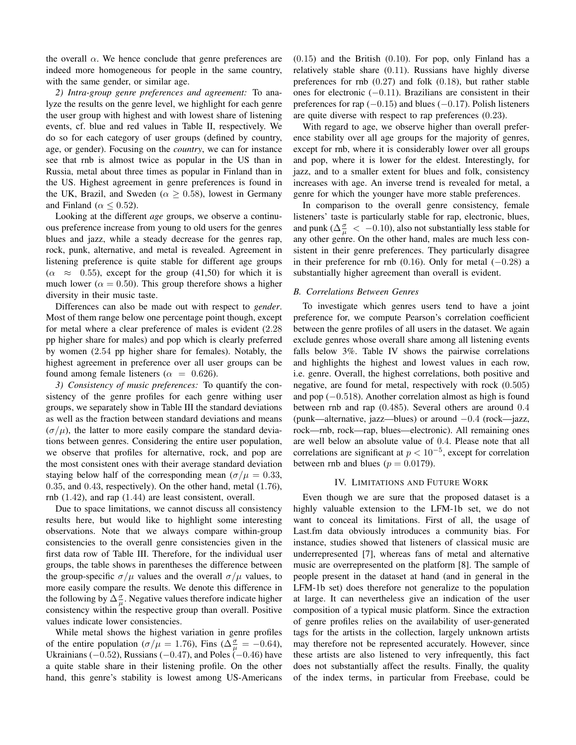the overall  $\alpha$ . We hence conclude that genre preferences are indeed more homogeneous for people in the same country, with the same gender, or similar age.

*2) Intra-group genre preferences and agreement:* To analyze the results on the genre level, we highlight for each genre the user group with highest and with lowest share of listening events, cf. blue and red values in Table II, respectively. We do so for each category of user groups (defined by country, age, or gender). Focusing on the *country*, we can for instance see that rnb is almost twice as popular in the US than in Russia, metal about three times as popular in Finland than in the US. Highest agreement in genre preferences is found in the UK, Brazil, and Sweden ( $\alpha > 0.58$ ), lowest in Germany and Finland ( $\alpha \leq 0.52$ ).

Looking at the different *age* groups, we observe a continuous preference increase from young to old users for the genres blues and jazz, while a steady decrease for the genres rap, rock, punk, alternative, and metal is revealed. Agreement in listening preference is quite stable for different age groups  $(\alpha \approx 0.55)$ , except for the group (41,50) for which it is much lower ( $\alpha = 0.50$ ). This group therefore shows a higher diversity in their music taste.

Differences can also be made out with respect to *gender*. Most of them range below one percentage point though, except for metal where a clear preference of males is evident (2.28 pp higher share for males) and pop which is clearly preferred by women (2.54 pp higher share for females). Notably, the highest agreement in preference over all user groups can be found among female listeners ( $\alpha = 0.626$ ).

*3) Consistency of music preferences:* To quantify the consistency of the genre profiles for each genre withing user groups, we separately show in Table III the standard deviations as well as the fraction between standard deviations and means  $(\sigma/\mu)$ , the latter to more easily compare the standard deviations between genres. Considering the entire user population, we observe that profiles for alternative, rock, and pop are the most consistent ones with their average standard deviation staying below half of the corresponding mean ( $\sigma/\mu = 0.33$ , 0.35, and 0.43, respectively). On the other hand, metal (1.76), rnb (1.42), and rap (1.44) are least consistent, overall.

Due to space limitations, we cannot discuss all consistency results here, but would like to highlight some interesting observations. Note that we always compare within-group consistencies to the overall genre consistencies given in the first data row of Table III. Therefore, for the individual user groups, the table shows in parentheses the difference between the group-specific  $\sigma/\mu$  values and the overall  $\sigma/\mu$  values, to more easily compare the results. We denote this difference in the following by  $\Delta_{\mu}^{\sigma}$ . Negative values therefore indicate higher consistency within the respective group than overall. Positive values indicate lower consistencies.

While metal shows the highest variation in genre profiles of the entire population ( $\sigma/\mu = 1.76$ ), Fins ( $\Delta \frac{\sigma}{\mu} = -0.64$ ), Ukrainians ( $-0.52$ ), Russians ( $-0.47$ ), and Poles ( $-0.46$ ) have a quite stable share in their listening profile. On the other hand, this genre's stability is lowest among US-Americans

(0.15) and the British (0.10). For pop, only Finland has a relatively stable share (0.11). Russians have highly diverse preferences for rnb (0.27) and folk (0.18), but rather stable ones for electronic (−0.11). Brazilians are consistent in their preferences for rap  $(-0.15)$  and blues  $(-0.17)$ . Polish listeners are quite diverse with respect to rap preferences (0.23).

With regard to age, we observe higher than overall preference stability over all age groups for the majority of genres, except for rnb, where it is considerably lower over all groups and pop, where it is lower for the eldest. Interestingly, for jazz, and to a smaller extent for blues and folk, consistency increases with age. An inverse trend is revealed for metal, a genre for which the younger have more stable preferences.

In comparison to the overall genre consistency, female listeners' taste is particularly stable for rap, electronic, blues, and punk ( $\Delta \frac{\sigma}{\mu} < -0.10$ ), also not substantially less stable for any other genre. On the other hand, males are much less consistent in their genre preferences. They particularly disagree in their preference for rnb (0.16). Only for metal  $(-0.28)$  a substantially higher agreement than overall is evident.

## *B. Correlations Between Genres*

To investigate which genres users tend to have a joint preference for, we compute Pearson's correlation coefficient between the genre profiles of all users in the dataset. We again exclude genres whose overall share among all listening events falls below 3%. Table IV shows the pairwise correlations and highlights the highest and lowest values in each row, i.e. genre. Overall, the highest correlations, both positive and negative, are found for metal, respectively with rock (0.505) and pop  $(-0.518)$ . Another correlation almost as high is found between rnb and rap (0.485). Several others are around 0.4 (punk—alternative, jazz—blues) or around −0.4 (rock—jazz, rock—rnb, rock—rap, blues—electronic). All remaining ones are well below an absolute value of 0.4. Please note that all correlations are significant at  $p < 10^{-5}$ , except for correlation between rnb and blues ( $p = 0.0179$ ).

## IV. LIMITATIONS AND FUTURE WORK

Even though we are sure that the proposed dataset is a highly valuable extension to the LFM-1b set, we do not want to conceal its limitations. First of all, the usage of Last.fm data obviously introduces a community bias. For instance, studies showed that listeners of classical music are underrepresented [7], whereas fans of metal and alternative music are overrepresented on the platform [8]. The sample of people present in the dataset at hand (and in general in the LFM-1b set) does therefore not generalize to the population at large. It can nevertheless give an indication of the user composition of a typical music platform. Since the extraction of genre profiles relies on the availability of user-generated tags for the artists in the collection, largely unknown artists may therefore not be represented accurately. However, since these artists are also listened to very infrequently, this fact does not substantially affect the results. Finally, the quality of the index terms, in particular from Freebase, could be